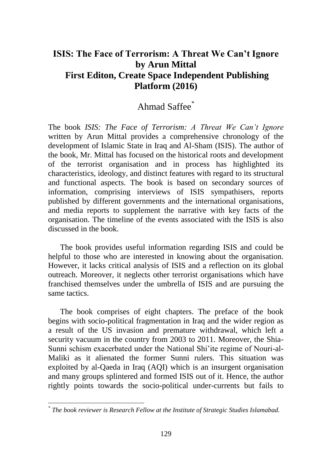## **ISIS: The Face of Terrorism: A Threat We Can't Ignore by Arun Mittal First Editon, Create Space Independent Publishing Platform (2016)**

## Ahmad Saffee<sup>\*</sup>

The book *ISIS: The Face of Terrorism: A Threat We Can't Ignore* written by Arun Mittal provides a comprehensive chronology of the development of Islamic State in Iraq and Al-Sham (ISIS). The author of the book, Mr. Mittal has focused on the historical roots and development of the terrorist organisation and in process has highlighted its characteristics, ideology, and distinct features with regard to its structural and functional aspects. The book is based on secondary sources of information, comprising interviews of ISIS sympathisers, reports published by different governments and the international organisations, and media reports to supplement the narrative with key facts of the organisation. The timeline of the events associated with the ISIS is also discussed in the book.

The book provides useful information regarding ISIS and could be helpful to those who are interested in knowing about the organisation. However, it lacks critical analysis of ISIS and a reflection on its global outreach. Moreover, it neglects other terrorist organisations which have franchised themselves under the umbrella of ISIS and are pursuing the same tactics.

The book comprises of eight chapters. The preface of the book begins with socio-political fragmentation in Iraq and the wider region as a result of the US invasion and premature withdrawal, which left a security vacuum in the country from 2003 to 2011. Moreover, the Shia-Sunni schism exacerbated under the National Shi'ite regime of Nouri-al-Maliki as it alienated the former Sunni rulers. This situation was exploited by al-Qaeda in Iraq (AQI) which is an insurgent organisation and many groups splintered and formed ISIS out of it. Hence, the author rightly points towards the socio-political under-currents but fails to

*<sup>\*</sup> The book reviewer is Research Fellow at the Institute of Strategic Studies Islamabad.*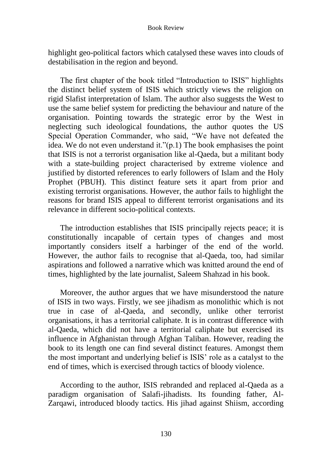highlight geo-political factors which catalysed these waves into clouds of destabilisation in the region and beyond.

The first chapter of the book titled "Introduction to ISIS" highlights the distinct belief system of ISIS which strictly views the religion on rigid Slafist interpretation of Islam. The author also suggests the West to use the same belief system for predicting the behaviour and nature of the organisation. Pointing towards the strategic error by the West in neglecting such ideological foundations, the author quotes the US Special Operation Commander, who said, "We have not defeated the idea. We do not even understand it."(p.1) The book emphasises the point that ISIS is not a terrorist organisation like al-Qaeda, but a militant body with a state-building project characterised by extreme violence and justified by distorted references to early followers of Islam and the Holy Prophet (PBUH). This distinct feature sets it apart from prior and existing terrorist organisations. However, the author fails to highlight the reasons for brand ISIS appeal to different terrorist organisations and its relevance in different socio-political contexts.

The introduction establishes that ISIS principally rejects peace; it is constitutionally incapable of certain types of changes and most importantly considers itself a harbinger of the end of the world. However, the author fails to recognise that al-Qaeda, too, had similar aspirations and followed a narrative which was knitted around the end of times, highlighted by the late journalist, Saleem Shahzad in his book.

Moreover, the author argues that we have misunderstood the nature of ISIS in two ways. Firstly, we see jihadism as monolithic which is not true in case of al-Qaeda, and secondly, unlike other terrorist organisations, it has a territorial caliphate. It is in contrast difference with al-Qaeda, which did not have a territorial caliphate but exercised its influence in Afghanistan through Afghan Taliban. However, reading the book to its length one can find several distinct features. Amongst them the most important and underlying belief is ISIS' role as a catalyst to the end of times, which is exercised through tactics of bloody violence.

According to the author, ISIS rebranded and replaced al-Qaeda as a paradigm organisation of Salafi-jihadists. Its founding father, Al-Zarqawi, introduced bloody tactics. His jihad against Shiism, according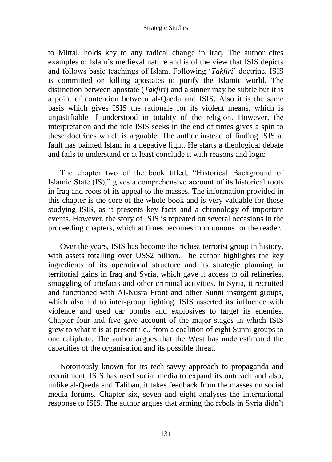## Strategic Studies

to Mittal, holds key to any radical change in Iraq. The author cites examples of Islam's medieval nature and is of the view that ISIS depicts and follows basic teachings of Islam. Following '*Takfiri*' doctrine, ISIS is committed on killing apostates to purify the Islamic world. The distinction between apostate (*Takfiri*) and a sinner may be subtle but it is a point of contention between al-Qaeda and ISIS. Also it is the same basis which gives ISIS the rationale for its violent means, which is unjustifiable if understood in totality of the religion. However, the interpretation and the role ISIS seeks in the end of times gives a spin to these doctrines which is arguable. The author instead of finding ISIS at fault has painted Islam in a negative light. He starts a theological debate and fails to understand or at least conclude it with reasons and logic.

The chapter two of the book titled, "Historical Background of Islamic State (IS)," gives a comprehensive account of its historical roots in Iraq and roots of its appeal to the masses. The information provided in this chapter is the core of the whole book and is very valuable for those studying ISIS, as it presents key facts and a chronology of important events. However, the story of ISIS is repeated on several occasions in the proceeding chapters, which at times becomes monotonous for the reader.

Over the years, ISIS has become the richest terrorist group in history, with assets totalling over US\$2 billion. The author highlights the key ingredients of its operational structure and its strategic planning in territorial gains in Iraq and Syria, which gave it access to oil refineries, smuggling of artefacts and other criminal activities. In Syria, it recruited and functioned with Al-Nusra Front and other Sunni insurgent groups, which also led to inter-group fighting. ISIS asserted its influence with violence and used car bombs and explosives to target its enemies. Chapter four and five give account of the major stages in which ISIS grew to what it is at present i.e., from a coalition of eight Sunni groups to one caliphate. The author argues that the West has underestimated the capacities of the organisation and its possible threat.

Notoriously known for its tech-savvy approach to propaganda and recruitment, ISIS has used social media to expand its outreach and also, unlike al-Qaeda and Taliban, it takes feedback from the masses on social media forums. Chapter six, seven and eight analyses the international response to ISIS. The author argues that arming the rebels in Syria didn't